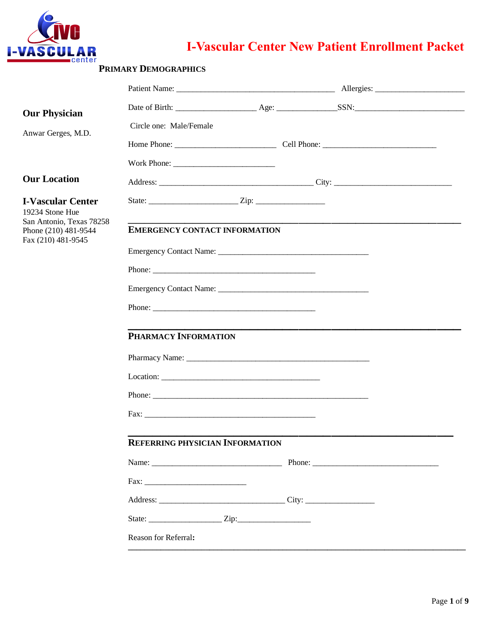

# **I-Vascular Center New Patient Enrollment Packet**

| <b>Our Physician</b>                                                    |                                        |  |                      |
|-------------------------------------------------------------------------|----------------------------------------|--|----------------------|
| Anwar Gerges, M.D.                                                      | Circle one: Male/Female                |  |                      |
|                                                                         |                                        |  |                      |
|                                                                         |                                        |  |                      |
| <b>Our Location</b>                                                     |                                        |  | Address: City: City: |
| <b>I-Vascular Center</b><br>19234 Stone Hue<br>San Antonio, Texas 78258 |                                        |  |                      |
| Phone (210) 481-9544<br>Fax (210) 481-9545                              | <b>EMERGENCY CONTACT INFORMATION</b>   |  |                      |
|                                                                         |                                        |  |                      |
|                                                                         |                                        |  |                      |
|                                                                         |                                        |  |                      |
|                                                                         |                                        |  |                      |
|                                                                         | PHARMACY INFORMATION                   |  |                      |
|                                                                         |                                        |  |                      |
|                                                                         |                                        |  |                      |
|                                                                         |                                        |  |                      |
|                                                                         |                                        |  |                      |
|                                                                         | <b>REFERRING PHYSICIAN INFORMATION</b> |  |                      |
|                                                                         |                                        |  | Name: Phone: Phone:  |
|                                                                         |                                        |  |                      |
|                                                                         |                                        |  |                      |
|                                                                         |                                        |  |                      |
|                                                                         | Reason for Referral:                   |  |                      |
|                                                                         |                                        |  |                      |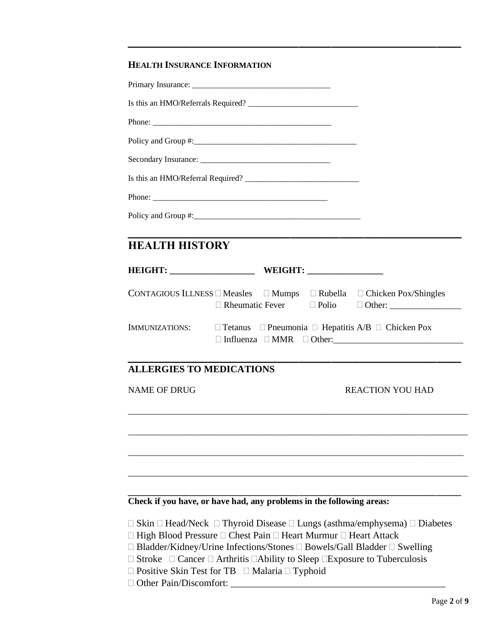### **HEALTH INSURANCE INFORMATION**

| <b>HEALTH HISTORY</b>           |                                                                                                       |                                                                                                                                                                                                 |
|---------------------------------|-------------------------------------------------------------------------------------------------------|-------------------------------------------------------------------------------------------------------------------------------------------------------------------------------------------------|
|                                 |                                                                                                       |                                                                                                                                                                                                 |
|                                 | CONTAGIOUS ILLNESS $\square$ Measles $\square$ Mumps $\square$ Rubella $\square$ Chicken Pox/Shingles |                                                                                                                                                                                                 |
| <b>IMMUNIZATIONS:</b>           | $\Box$ Tetanus $\Box$ Pneumonia $\Box$ Hepatitis A/B $\Box$ Chicken Pox                               |                                                                                                                                                                                                 |
| <b>ALLERGIES TO MEDICATIONS</b> |                                                                                                       |                                                                                                                                                                                                 |
| <b>NAME OF DRUG</b>             |                                                                                                       | <b>REACTION YOU HAD</b>                                                                                                                                                                         |
|                                 |                                                                                                       |                                                                                                                                                                                                 |
|                                 |                                                                                                       |                                                                                                                                                                                                 |
|                                 | Check if you have, or have had, any problems in the following areas:                                  |                                                                                                                                                                                                 |
|                                 | $\Box$ High Blood Pressure $\Box$ Chest Pain $\Box$ Heart Murmur $\Box$ Heart Attack                  | $\Box$ Skin $\Box$ Head/Neck $\Box$ Thyroid Disease $\Box$ Lungs (asthma/emphysema) $\Box$ Diabetes<br>$\Box$ Bladder/Kidney/Urine Infections/Stones $\Box$ Bowels/Gall Bladder $\Box$ Swelling |

**\_\_\_\_\_\_\_\_\_\_\_\_\_\_\_\_\_\_\_\_\_\_\_\_\_\_\_\_\_\_\_\_\_\_\_\_\_\_\_\_\_**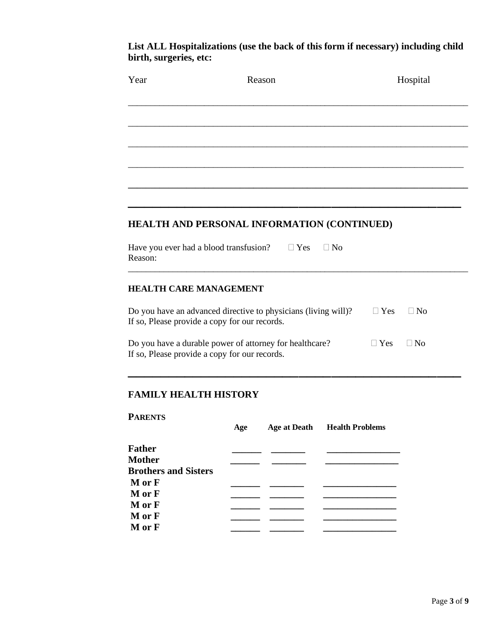### **List ALL Hospitalizations (use the back of this form if necessary) including child birth, surgeries, etc:**

| Year                                              | Reason                                                                                                          | Hospital                |
|---------------------------------------------------|-----------------------------------------------------------------------------------------------------------------|-------------------------|
|                                                   |                                                                                                                 |                         |
|                                                   |                                                                                                                 |                         |
|                                                   |                                                                                                                 |                         |
|                                                   |                                                                                                                 |                         |
|                                                   | HEALTH AND PERSONAL INFORMATION (CONTINUED)                                                                     |                         |
| Have you ever had a blood transfusion?<br>Reason: | $\Box$ Yes<br>$\Box$ No                                                                                         |                         |
| <b>HEALTH CARE MANAGEMENT</b>                     |                                                                                                                 |                         |
|                                                   | Do you have an advanced directive to physicians (living will)?<br>If so, Please provide a copy for our records. | $\Box$ Yes<br>$\Box$ No |
|                                                   | Do you have a durable power of attorney for healthcare?<br>If so, Please provide a copy for our records.        | $\Box$ Yes<br>$\Box$ No |
|                                                   |                                                                                                                 |                         |
| <b>FAMILY HEALTH HISTORY</b>                      |                                                                                                                 |                         |
| <b>PARENTS</b>                                    | <b>Age at Death</b><br><b>Health Problems</b><br>Age                                                            |                         |
| <b>Father</b><br><b>Mother</b>                    |                                                                                                                 |                         |

**Brothers and Sisters** 

**M or F \_\_\_\_\_\_ \_\_\_\_\_\_\_ \_\_\_\_\_\_\_\_\_\_\_\_\_\_\_** 

**M or F \_\_\_\_\_\_ \_\_\_\_\_\_\_ \_\_\_\_\_\_\_\_\_\_\_\_\_\_\_** 

**M or F M** or **F M** or **F M** or **F M** or **F**<br>**M** or **F** 

**M or F \_\_\_\_\_\_ \_\_\_\_\_\_\_ \_\_\_\_\_\_\_\_\_\_\_\_\_\_\_**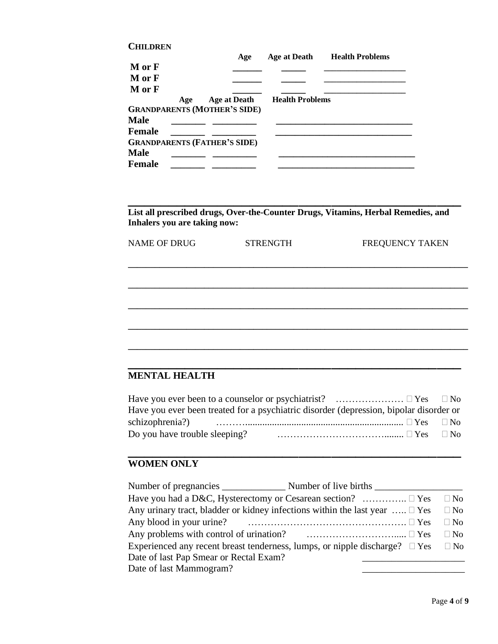| <b>CHILDREN</b> |     |                                     |                        |                        |
|-----------------|-----|-------------------------------------|------------------------|------------------------|
|                 |     | Age                                 | Age at Death           | <b>Health Problems</b> |
| M or F          |     |                                     |                        |                        |
| M or F          |     |                                     |                        |                        |
| M or F          |     |                                     |                        |                        |
|                 | Age | Age at Death                        | <b>Health Problems</b> |                        |
|                 |     | <b>GRANDPARENTS (MOTHER'S SIDE)</b> |                        |                        |
| <b>Male</b>     |     |                                     |                        |                        |
| <b>Female</b>   |     |                                     |                        |                        |
|                 |     | <b>GRANDPARENTS (FATHER'S SIDE)</b> |                        |                        |
| <b>Male</b>     |     |                                     |                        |                        |
| <b>Female</b>   |     |                                     |                        |                        |

**List all prescribed drugs, Over-the-Counter Drugs, Vitamins, Herbal Remedies, and Inhalers you are taking now:**

**\_\_\_\_\_\_\_\_\_\_\_\_\_\_\_\_\_\_\_\_\_\_\_\_\_\_\_\_\_\_\_\_\_\_\_\_\_\_\_\_\_**

| <b>NAME OF DRUG</b> | <b>STRENGTH</b> | FREQUENCY TAKEN |
|---------------------|-----------------|-----------------|
|                     |                 |                 |
|                     |                 |                 |
|                     |                 |                 |

**\_\_\_\_\_\_\_\_\_\_\_\_\_\_\_\_\_\_\_\_\_\_\_\_\_\_\_\_\_\_\_\_\_\_\_\_\_\_\_\_\_\_\_\_\_\_\_\_\_\_\_\_\_\_\_\_\_\_\_\_\_\_\_\_\_\_\_\_\_\_\_\_\_\_\_\_**

**\_\_\_\_\_\_\_\_\_\_\_\_\_\_\_\_\_\_\_\_\_\_\_\_\_\_\_\_\_\_\_\_\_\_\_\_\_\_\_\_\_\_\_\_\_\_\_\_\_\_\_\_\_\_\_\_\_\_\_\_\_\_\_\_\_\_\_\_\_\_\_\_\_\_\_\_ \_\_\_\_\_\_\_\_\_\_\_\_\_\_\_\_\_\_\_\_\_\_\_\_\_\_\_\_\_\_\_\_\_\_\_\_\_\_\_\_\_**

## **MENTAL HEALTH**

| Have you ever been to a counselor or psychiatrist? $\dots\dots\dots\dots\dots\dots\dots \square Y$ es $\square$ No                              |  |
|-------------------------------------------------------------------------------------------------------------------------------------------------|--|
| Have you ever been treated for a psychiatric disorder (depression, bipolar disorder or                                                          |  |
|                                                                                                                                                 |  |
| Do you have trouble sleeping?<br>$\ldots$ $\ldots$ $\ldots$ $\ldots$ $\ldots$ $\ldots$ $\ldots$ $\ldots$ $\ldots$ $\ldots$ $\Box$ $\mathrm{No}$ |  |

**\_\_\_\_\_\_\_\_\_\_\_\_\_\_\_\_\_\_\_\_\_\_\_\_\_\_\_\_\_\_\_\_\_\_\_\_\_\_\_\_\_**

# **WOMEN ONLY**

|                                        | Have you had a D&C, Hysterectomy or Cesarean section? $\dots\dots\dots\dots \square$ Yes                             | $\Box$ No |
|----------------------------------------|----------------------------------------------------------------------------------------------------------------------|-----------|
|                                        | Any urinary tract, bladder or kidney infections within the last year $\dots \square$ Yes                             | $\Box$ No |
|                                        |                                                                                                                      | $\Box$ No |
|                                        | Any problems with control of urination? $\qquad \qquad \ldots \ldots \ldots \ldots \ldots \ldots \ldots \square$ Yes | $\Box$ No |
|                                        | Experienced any recent breast tenderness, lumps, or nipple discharge? $\square$ Yes                                  | $\Box$ No |
| Date of last Pap Smear or Rectal Exam? |                                                                                                                      |           |
| Date of last Mammogram?                |                                                                                                                      |           |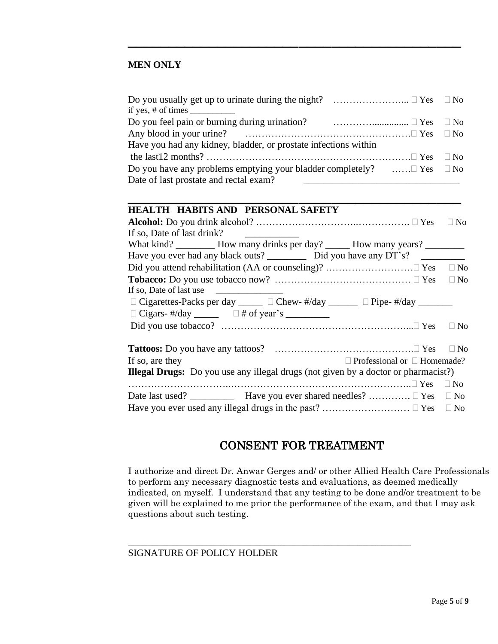### **MEN ONLY**

| if yes, # of times $\frac{1}{\sqrt{1-\frac{1}{2}}}\right.$                                  |           |
|---------------------------------------------------------------------------------------------|-----------|
|                                                                                             |           |
|                                                                                             |           |
| Have you had any kidney, bladder, or prostate infections within                             |           |
|                                                                                             | $\Box$ No |
| Do you have any problems emptying your bladder completely? $\dots \square$ Yes $\square$ No |           |
| Date of last prostate and rectal exam?                                                      |           |

**\_\_\_\_\_\_\_\_\_\_\_\_\_\_\_\_\_\_\_\_\_\_\_\_\_\_\_\_\_\_\_\_\_\_\_\_\_\_\_\_\_**

**\_\_\_\_\_\_\_\_\_\_\_\_\_\_\_\_\_\_\_\_\_\_\_\_\_\_\_\_\_\_\_\_\_\_\_\_\_\_\_\_\_**

### **HEALTH HABITS AND PERSONAL SAFETY**

|                            |                                                                                           |                                         | $\Box$ No |
|----------------------------|-------------------------------------------------------------------------------------------|-----------------------------------------|-----------|
| If so, Date of last drink? |                                                                                           |                                         |           |
|                            | What kind? ___________ How many drinks per day? _______ How many years? _________         |                                         |           |
|                            |                                                                                           |                                         |           |
|                            |                                                                                           |                                         | $\Box$ No |
|                            |                                                                                           |                                         | $\Box$ No |
| If so, Date of last use    |                                                                                           |                                         |           |
|                            | $\Box$ Cigarettes-Packs per day _____ $\Box$ Chew- #/day ______ $\Box$ Pipe- #/day ______ |                                         |           |
|                            | $\Box$ Cigars- #/day ______ $\Box$ # of year's ________                                   |                                         |           |
|                            |                                                                                           |                                         | $\Box$ No |
|                            |                                                                                           |                                         | $\Box$ No |
| If so, are they            |                                                                                           | $\Box$ Professional or $\Box$ Homemade? |           |
|                            | <b>Illegal Drugs:</b> Do you use any illegal drugs (not given by a doctor or pharmacist?) |                                         |           |
|                            |                                                                                           |                                         | $\Box$ No |
|                            |                                                                                           |                                         |           |
|                            |                                                                                           |                                         |           |

## CONSENT FOR TREATMENT

I authorize and direct Dr. Anwar Gerges and/ or other Allied Health Care Professionals to perform any necessary diagnostic tests and evaluations, as deemed medically indicated, on myself. I understand that any testing to be done and/or treatment to be given will be explained to me prior the performance of the exam, and that I may ask questions about such testing.

\_\_\_\_\_\_\_\_\_\_\_\_\_\_\_\_\_\_\_\_\_\_\_\_\_\_\_\_\_\_\_\_\_\_\_\_\_\_\_\_\_\_\_\_\_\_\_\_\_\_\_\_\_\_\_\_\_\_

#### SIGNATURE OF POLICY HOLDER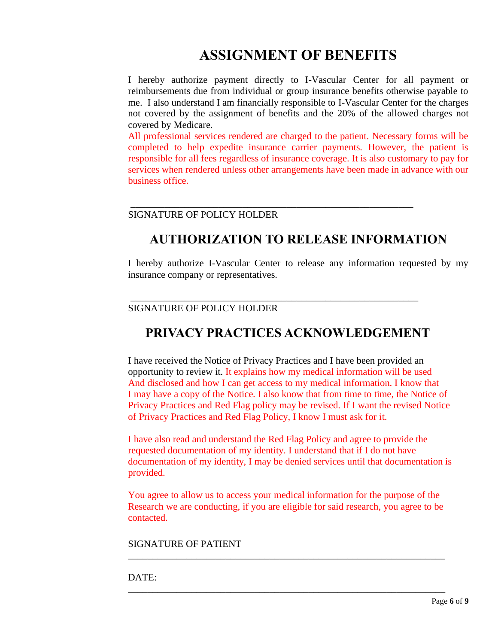# **ASSIGNMENT OF BENEFITS**

I hereby authorize payment directly to I-Vascular Center for all payment or reimbursements due from individual or group insurance benefits otherwise payable to me. I also understand I am financially responsible to I-Vascular Center for the charges not covered by the assignment of benefits and the 20% of the allowed charges not covered by Medicare.

All professional services rendered are charged to the patient. Necessary forms will be completed to help expedite insurance carrier payments. However, the patient is responsible for all fees regardless of insurance coverage. It is also customary to pay for services when rendered unless other arrangements have been made in advance with our business office.

### SIGNATURE OF POLICY HOLDER

# **AUTHORIZATION TO RELEASE INFORMATION**

\_\_\_\_\_\_\_\_\_\_\_\_\_\_\_\_\_\_\_\_\_\_\_\_\_\_\_\_\_\_\_\_\_\_\_\_\_\_\_\_\_\_\_\_\_\_\_\_\_\_\_\_\_\_\_\_\_\_

I hereby authorize I-Vascular Center to release any information requested by my insurance company or representatives.

### SIGNATURE OF POLICY HOLDER

# **PRIVACY PRACTICES ACKNOWLEDGEMENT**

\_\_\_\_\_\_\_\_\_\_\_\_\_\_\_\_\_\_\_\_\_\_\_\_\_\_\_\_\_\_\_\_\_\_\_\_\_\_\_\_\_\_\_\_\_\_\_\_\_\_\_\_\_\_\_\_\_\_\_

I have received the Notice of Privacy Practices and I have been provided an opportunity to review it. It explains how my medical information will be used And disclosed and how I can get access to my medical information. I know that I may have a copy of the Notice. I also know that from time to time, the Notice of Privacy Practices and Red Flag policy may be revised. If I want the revised Notice of Privacy Practices and Red Flag Policy, I know I must ask for it.

I have also read and understand the Red Flag Policy and agree to provide the requested documentation of my identity. I understand that if I do not have documentation of my identity, I may be denied services until that documentation is provided.

You agree to allow us to access your medical information for the purpose of the Research we are conducting, if you are eligible for said research, you agree to be contacted.

\_\_\_\_\_\_\_\_\_\_\_\_\_\_\_\_\_\_\_\_\_\_\_\_\_\_\_\_\_\_\_\_\_\_\_\_\_\_\_\_\_\_\_\_\_\_\_\_\_\_\_\_\_\_\_\_\_\_\_\_\_\_\_\_\_

\_\_\_\_\_\_\_\_\_\_\_\_\_\_\_\_\_\_\_\_\_\_\_\_\_\_\_\_\_\_\_\_\_\_\_\_\_\_\_\_\_\_\_\_\_\_\_\_\_\_\_\_\_\_\_\_\_\_\_\_\_\_\_\_\_

SIGNATURE OF PATIENT

DATE: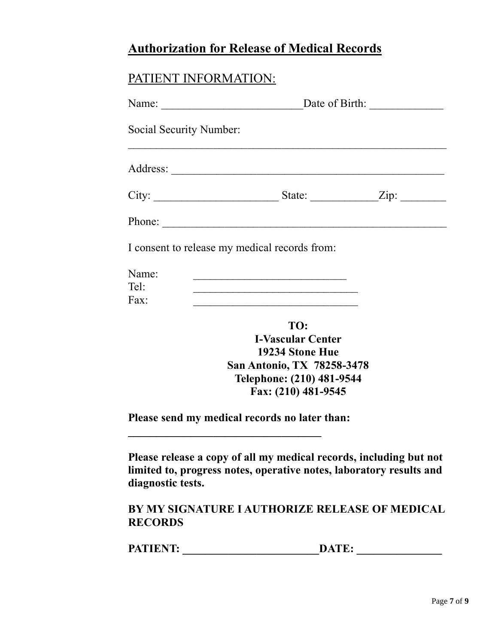# **Authorization for Release of Medical Records**

# PATIENT INFORMATION:

|                         | Date of Birth:<br>Name: $\qquad \qquad$                                                                               |  |
|-------------------------|-----------------------------------------------------------------------------------------------------------------------|--|
| Social Security Number: |                                                                                                                       |  |
|                         |                                                                                                                       |  |
|                         |                                                                                                                       |  |
|                         |                                                                                                                       |  |
|                         | I consent to release my medical records from:                                                                         |  |
| Name:<br>Tel:           | <u> 1989 - Johann John Stone, markin film yn y brening yn y brening yn y brening yn y brening yn y brening yn y b</u> |  |
| Fax:                    | the control of the control of the control of the control of the control of the control of                             |  |
|                         | TO:<br><b>I-Vascular Center</b>                                                                                       |  |
|                         | 19234 Stone Hue                                                                                                       |  |
|                         | <b>San Antonio, TX 78258-3478</b><br>Telephone: (210) 481-9544                                                        |  |
|                         | Fax: (210) 481-9545                                                                                                   |  |

**Please send my medical records no later than:** 

**Please release a copy of all my medical records, including but not limited to, progress notes, operative notes, laboratory results and diagnostic tests.**

# **BY MY SIGNATURE I AUTHORIZE RELEASE OF MEDICAL RECORDS**

| <b>PATIENT:</b> |
|-----------------|
|-----------------|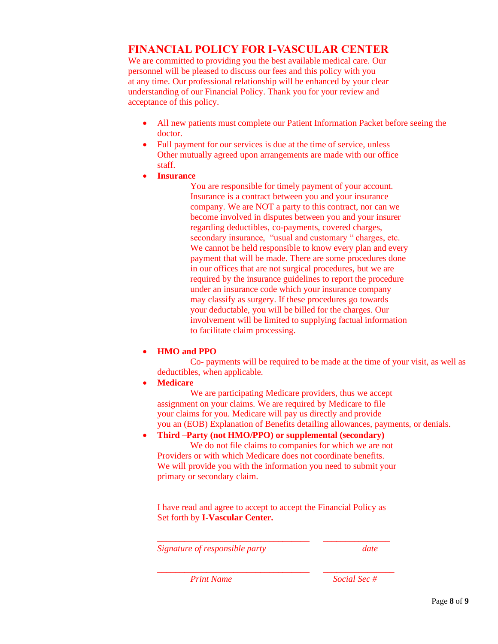### **FINANCIAL POLICY FOR I-VASCULAR CENTER**

We are committed to providing you the best available medical care. Our personnel will be pleased to discuss our fees and this policy with you at any time. Our professional relationship will be enhanced by your clear understanding of our Financial Policy. Thank you for your review and acceptance of this policy.

- All new patients must complete our Patient Information Packet before seeing the doctor.
- Full payment for our services is due at the time of service, unless Other mutually agreed upon arrangements are made with our office staff.
- **Insurance**
	- You are responsible for timely payment of your account. Insurance is a contract between you and your insurance company. We are NOT a party to this contract, nor can we become involved in disputes between you and your insurer regarding deductibles, co-payments, covered charges, secondary insurance, "usual and customary " charges, etc. We cannot be held responsible to know every plan and every payment that will be made. There are some procedures done in our offices that are not surgical procedures, but we are required by the insurance guidelines to report the procedure under an insurance code which your insurance company may classify as surgery. If these procedures go towards your deductable, you will be billed for the charges. Our involvement will be limited to supplying factual information to facilitate claim processing.

### • **HMO and PPO**

Co- payments will be required to be made at the time of your visit, as well as deductibles, when applicable.

• **Medicare**

We are participating Medicare providers, thus we accept assignment on your claims. We are required by Medicare to file your claims for you. Medicare will pay us directly and provide you an (EOB) Explanation of Benefits detailing allowances, payments, or denials.

### • **Third –Party (not HMO/PPO) or supplemental (secondary)**

We do not file claims to companies for which we are not Providers or with which Medicare does not coordinate benefits. We will provide you with the information you need to submit your primary or secondary claim.

I have read and agree to accept to accept the Financial Policy as Set forth by **I-Vascular Center.**

*\_\_\_\_\_\_\_\_\_\_\_\_\_\_\_\_\_\_\_\_\_\_\_\_\_\_\_\_\_\_\_\_\_\_ \_\_\_\_\_\_\_\_\_\_\_\_\_\_\_*

*\_\_\_\_\_\_\_\_\_\_\_\_\_\_\_\_\_\_\_\_\_\_\_\_\_\_\_\_\_\_\_\_\_\_ \_\_\_\_\_\_\_\_\_\_\_\_\_\_\_\_*

*Signature of responsible party date*

*Print Name Social Sec #*